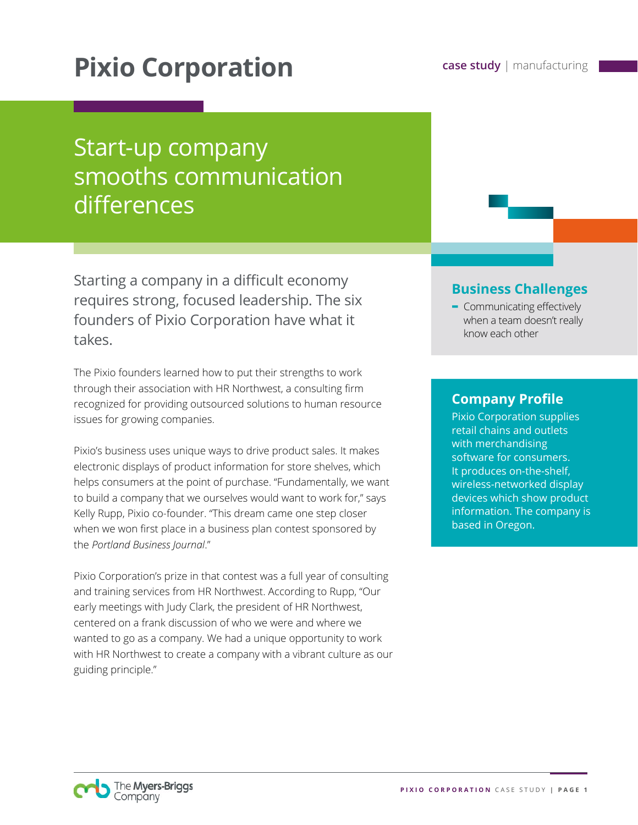# **Pixio Corporation case study** | manufacturing

## Start-up company smooths communication differences

Starting a company in a difficult economy requires strong, focused leadership. The six founders of Pixio Corporation have what it takes.

The Pixio founders learned how to put their strengths to work through their association with HR Northwest, a consulting firm recognized for providing outsourced solutions to human resource issues for growing companies.

Pixio's business uses unique ways to drive product sales. It makes electronic displays of product information for store shelves, which helps consumers at the point of purchase. "Fundamentally, we want to build a company that we ourselves would want to work for," says Kelly Rupp, Pixio co-founder. "This dream came one step closer when we won first place in a business plan contest sponsored by the *Portland Business Journal*."

Pixio Corporation's prize in that contest was a full year of consulting and training services from HR Northwest. According to Rupp, "Our early meetings with Judy Clark, the president of HR Northwest, centered on a frank discussion of who we were and where we wanted to go as a company. We had a unique opportunity to work with HR Northwest to create a company with a vibrant culture as our guiding principle."

#### **Business Challenges**

**-** Communicating effectively when a team doesn't really know each other

#### **Company Profile**

Pixio Corporation supplies retail chains and outlets with merchandising software for consumers. It produces on-the-shelf, wireless-networked display devices which show product information. The company is based in Oregon.

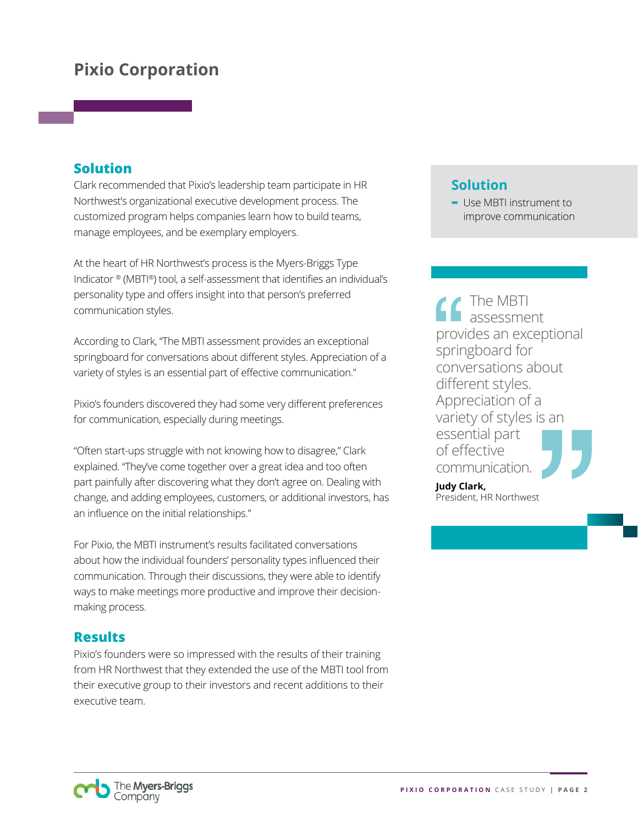## **Pixio Corporation**

#### **Solution**

Clark recommended that Pixio's leadership team participate in HR Northwest's organizational executive development process. The customized program helps companies learn how to build teams, manage employees, and be exemplary employers.

At the heart of HR Northwest's process is the Myers-Briggs Type Indicator ® (MBTI®) tool, a self-assessment that identifies an individual's personality type and offers insight into that person's preferred communication styles.

According to Clark, "The MBTI assessment provides an exceptional springboard for conversations about different styles. Appreciation of a variety of styles is an essential part of effective communication."

Pixio's founders discovered they had some very different preferences for communication, especially during meetings.

"Often start-ups struggle with not knowing how to disagree," Clark explained. "They've come together over a great idea and too often part painfully after discovering what they don't agree on. Dealing with change, and adding employees, customers, or additional investors, has an influence on the initial relationships."

For Pixio, the MBTI instrument's results facilitated conversations about how the individual founders' personality types influenced their communication. Through their discussions, they were able to identify ways to make meetings more productive and improve their decisionmaking process.

#### **Results**

Pixio's founders were so impressed with the results of their training from HR Northwest that they extended the use of the MBTI tool from their executive group to their investors and recent additions to their executive team.

#### **Solution**

**-** Use MBTI instrument to improve communication

The MBTI assessment provides an exceptional springboard for conversations about different styles. Appreciation of a variety of styles is an essential part of effective communication.

**Judy Clark,**  President, HR Northwest

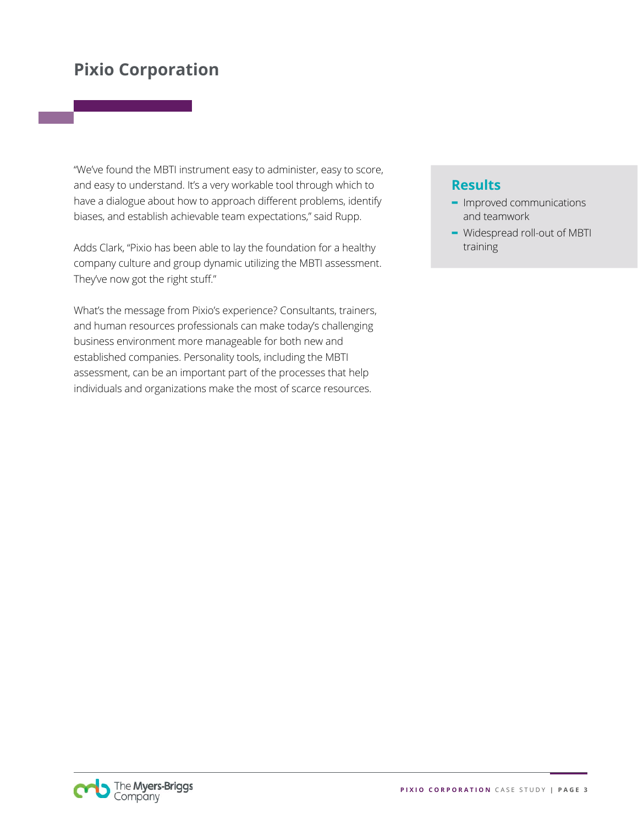## **Pixio Corporation**

"We've found the MBTI instrument easy to administer, easy to score, and easy to understand. It's a very workable tool through which to have a dialogue about how to approach different problems, identify biases, and establish achievable team expectations," said Rupp.

Adds Clark, "Pixio has been able to lay the foundation for a healthy company culture and group dynamic utilizing the MBTI assessment. They've now got the right stuff."

What's the message from Pixio's experience? Consultants, trainers, and human resources professionals can make today's challenging business environment more manageable for both new and established companies. Personality tools, including the MBTI assessment, can be an important part of the processes that help individuals and organizations make the most of scarce resources.

#### **Results**

- **-** Improved communications and teamwork
- **-** Widespread roll-out of MBTI training